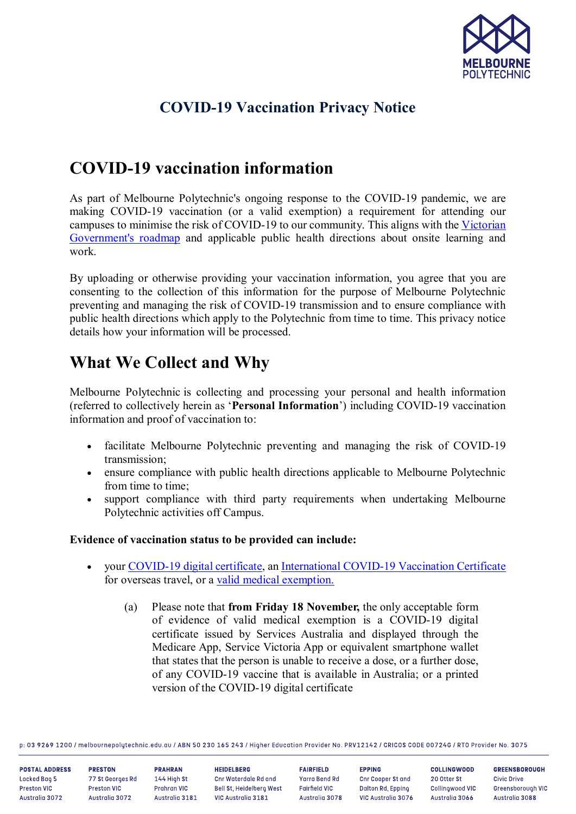

## **COVID-19 Vaccination Privacy Notice**

# **COVID-19 vaccination information**

As part of Melbourne Polytechnic's ongoing response to the COVID-19 pandemic, we are making COVID-19 vaccination (or a valid exemption) a requirement for attending our campuses to minimise the risk of COVID-19 to our community. This aligns with the [Victorian](https://www.coronavirus.vic.gov.au/victorias-roadmap)  [Government's roadmap](https://www.coronavirus.vic.gov.au/victorias-roadmap) and applicable public health directions about onsite learning and work.

By uploading or otherwise providing your vaccination information, you agree that you are consenting to the collection of this information for the purpose of Melbourne Polytechnic preventing and managing the risk of COVID-19 transmission and to ensure compliance with public health directions which apply to the Polytechnic from time to time. This privacy notice details how your information will be processed.

# **What We Collect and Why**

Melbourne Polytechnic is collecting and processing your personal and health information (referred to collectively herein as '**Personal Information**') including COVID-19 vaccination information and proof of vaccination to:

- facilitate Melbourne Polytechnic preventing and managing the risk of COVID-19 transmission;
- ensure compliance with public health directions applicable to Melbourne Polytechnic from time to time;
- support compliance with third party requirements when undertaking Melbourne Polytechnic activities off Campus.

### **Evidence of vaccination status to be provided can include:**

- your [COVID-19 digital certificate,](https://www.health.gov.au/initiatives-and-programs/covid-19-vaccines/certificates) an [International COVID-19 Vaccination Certificate](https://www.servicesaustralia.gov.au/individuals/subjects/international-covid-19-vaccination-certificate-proof-your-covid-19-vaccinations) for overseas travel, or a [valid medical exemption.](https://www.servicesaustralia.gov.au/organisations/health-professionals/forms/im011)
	- (a) Please note that **from Friday 18 November,** the only acceptable form of evidence of valid medical exemption is a COVID-19 digital certificate issued by Services Australia and displayed through the Medicare App, Service Victoria App or equivalent smartphone wallet that states that the person is unable to receive a dose, or a further dose, of any COVID-19 vaccine that is available in Australia; or a printed version of the COVID-19 digital certificate

p: 03 9269 1200 / melbournepolytechnic.edu.au / ABN 50 230 165 243 / Higher Education Provider No. PRV12142 / CRICOS CODE 007246 / RTO Provider No. 3075

| <b>POSTAL ADDRESS</b> | <b>PRESTON</b>   | <b>PRAHRAN</b> | <b>HEIDELBERG</b>        | <b>FAIRFIELD</b>     | <b>EPPING</b>            | <b>COLLINGWOOD</b> | <b>GREENSBOROUGH</b> |
|-----------------------|------------------|----------------|--------------------------|----------------------|--------------------------|--------------------|----------------------|
| Locked Bag 5          | 77 St Georges Rd | 144 High St    | Cnr Waterdale Rd and     | Yarra Bend Rd        | <b>Chr Cooper St and</b> | 20 Otter St        | Civic Drive          |
| <b>Preston VIC</b>    | Preston VIC      | Prahran VIC    | Bell St. Heidelberg West | <b>Fairfield VIC</b> | Dalton Rd, Epping        | Collingwood VIC    | Greensborough VIC    |
| Australia 3072        | Australia 3072   | Australia 3181 | VIC Australia 3181       | Australia 3078       | VIC Australia 3076       | Australia 3066     | Australia 3088       |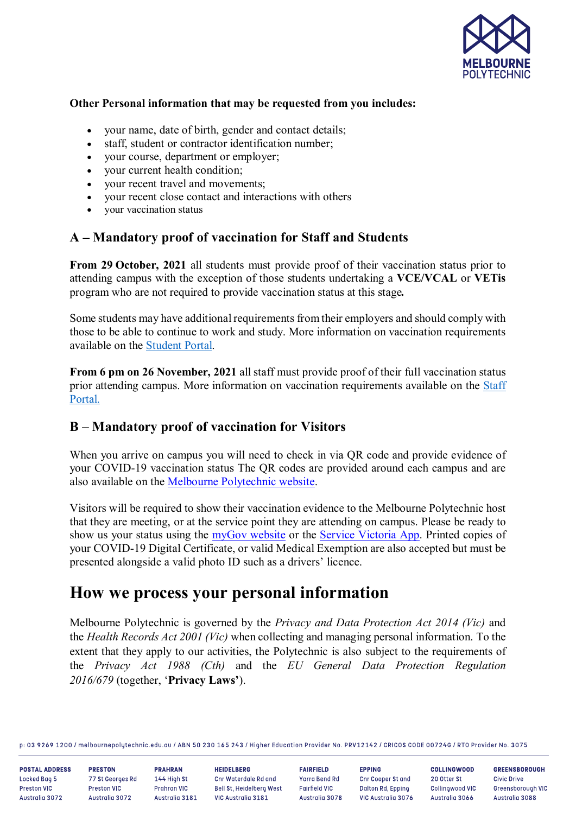

#### **Other Personal information that may be requested from you includes:**

- your name, date of birth, gender and contact details;
- staff, student or contractor identification number;
- your course, department or employer;
- your current health condition;
- your recent travel and movements;
- your recent close contact and interactions with others
- your vaccination status

## **A – Mandatory proof of vaccination for Staff and Students**

**From 29 October, 2021** all students must provide proof of their vaccination status prior to attending campus with the exception of those students undertaking a **VCE/VCAL** or **VETis** program who are not required to provide vaccination status at this stage*.*

Some students may have additional requirements from their employers and should comply with those to be able to continue to work and study. More information on vaccination requirements available on the [Student Portal.](https://melbournepolytechnic.sharepoint.com/sites/student/Pages/covid-main.aspx)

**From 6 pm on 26 November, 2021** all staff must provide proof of their full vaccination status prior attending campus. More information on vaccination requirements available on the [Staff](https://melbournepolytechnic.sharepoint.com/sites/staff/pub/PandC/Covid/Pages/covidinfo.aspx)  [Portal.](https://melbournepolytechnic.sharepoint.com/sites/staff/pub/PandC/Covid/Pages/covidinfo.aspx)

## **B – Mandatory proof of vaccination for Visitors**

When you arrive on campus you will need to check in via OR code and provide evidence of your COVID-19 vaccination status The QR codes are provided around each campus and are also available on the [Melbourne Polytechnic website.](https://www.melbournepolytechnic.edu.au/about-us/coronavirus-information-covid-19/#checkin)

Visitors will be required to show their vaccination evidence to the Melbourne Polytechnic host that they are meeting, or at the service point they are attending on campus. Please be ready to show us your status using the [myGov website](https://my.gov.au/) or the [Service Victoria App.](https://service.vic.gov.au/check-in) Printed copies of your COVID-19 Digital Certificate, or valid Medical Exemption are also accepted but must be presented alongside a valid photo ID such as a drivers' licence.

## **How we process your personal information**

Melbourne Polytechnic is governed by the *Privacy and Data Protection Act 2014 (Vic)* and the *Health Records Act 2001 (Vic)* when collecting and managing personal information. To the extent that they apply to our activities, the Polytechnic is also subject to the requirements of the *Privacy Act 1988 (Cth)* and the *EU General Data Protection Regulation 2016/679* (together, '**Privacy Laws'**).

p: 03 9269 1200 / melbournepolytechnic.edu.au / ABN 50 230 165 243 / Higher Education Provider No. PRV12142 / CRICOS CODE 00724G / RTO Provider No. 3075

**POSTAL ADDRESS** Locked Bao 5 Preston VIC Australia 3072

**PRESTON** 77 St Georges Rd Preston VIC Australia 3072

**PRAHRAN** 144 High St Prahran VIC Australia 3181 **HEIDELBERG** Cnr Waterdale Rd and Bell St. Heidelberg West VIC Australia 3181

**FAIRFIELD** Yarra Bend Rd Fairfield VIC Australia 3078

**EPPING Cnr Cooper St and** Dalton Rd. Eppino VIC Australia 3076

**COLLINGWOOD** 20 Otter St Collinowood VIC Australia 3066

**GREENSBOROUGH Civic Drive** Greensborough VIC Australia 3088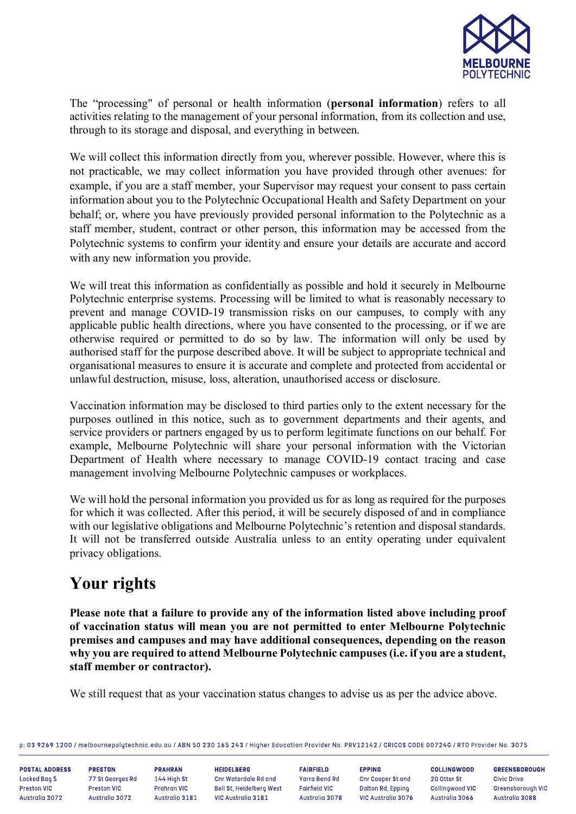

The "processing" of personal or health information (**personal information**) refers to all activities relating to the management of your personal information, from its collection and use, through to its storage and disposal, and everything in between.

We will collect this information directly from you, wherever possible. However, where this is not practicable, we may collect information you have provided through other avenues: for example, if you are a staff member, your Supervisor may request your consent to pass certain information about you to the Polytechnic Occupational Health and Safety Department on your behalf; or, where you have previously provided personal information to the Polytechnic as a staff member, student, contract or other person, this information may be accessed from the Polytechnic systems to confirm your identity and ensure your details are accurate and accord with any new information you provide.

We will treat this information as confidentially as possible and hold it securely in Melbourne Polytechnic enterprise systems. Processing will be limited to what is reasonably necessary to prevent and manage COVID-19 transmission risks on our campuses, to comply with any applicable public health directions, where you have consented to the processing, or if we are otherwise required or permitted to do so by law. The information will only be used by authorised staff for the purpose described above. It will be subject to appropriate technical and organisational measures to ensure it is accurate and complete and protected from accidental or unlawful destruction, misuse, loss, alteration, unauthorised access or disclosure.

Vaccination information may be disclosed to third parties only to the extent necessary for the purposes outlined in this notice, such as to government departments and their agents, and service providers or partners engaged by us to perform legitimate functions on our behalf. For example, Melbourne Polytechnic will share your personal information with the Victorian Department of Health where necessary to manage COVID-19 contact tracing and case management involving Melbourne Polytechnic campuses or workplaces.

We will hold the personal information you provided us for as long as required for the purposes for which it was collected. After this period, it will be securely disposed of and in compliance with our legislative obligations and Melbourne Polytechnic's retention and disposal standards. It will not be transferred outside Australia unless to an entity operating under equivalent privacy obligations.

# **Your rights**

**Please note that a failure to provide any of the information listed above including proof of vaccination status will mean you are not permitted to enter Melbourne Polytechnic premises and campuses and may have additional consequences, depending on the reason why you are required to attend Melbourne Polytechnic campuses (i.e. if you are a student, staff member or contractor).**

We still request that as your vaccination status changes to advise us as per the advice above.

p: 03 9269 1200 / melbournepolytechnic.edu.au / ABN 50 230 165 243 / Higher Education Provider No. PRV12142 / CRICOS CODE 00724G / RTO Provider No. 3075

**POSTAL ADDRESS** Locked Bag 5 Preston VIC Australia 3072

**PRESTON PRAHRAN** 77 St Georges Rd Preston VIC Australia 3072

**HEIDELBERG** 144 High St Cnr Waterdale Rd and Prahran VIC Bell St. Heidelberg West Australia 3181 VIC Australia 3181

**FAIRFIELD** Yarra Bend Rd Fairfield VIC Australia 3078

**EPPING Cnr Cooper St and** Dalton Rd. Eppino VIC Australia 3076

**COLLINGWOOD** 20 Otter St Collinowood VIC Australia 3066

**GREENSBOROUGH Civic Drive Greensborough VIC** Australia 3088